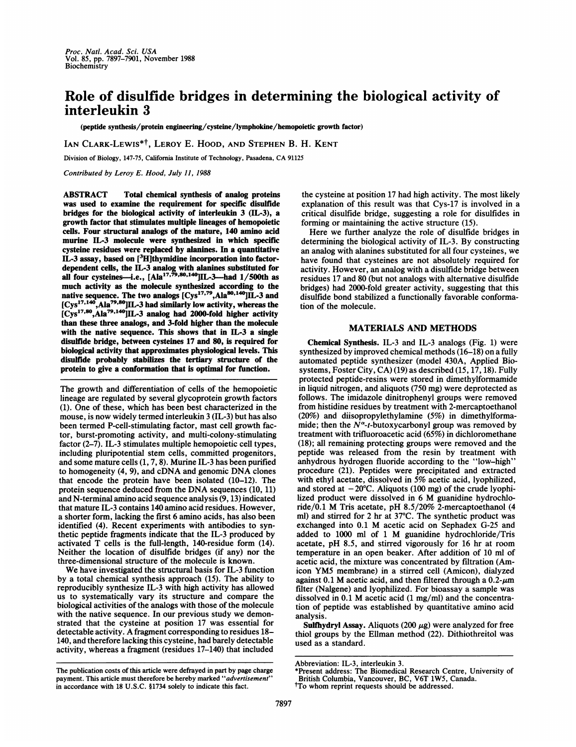## Role of disulfide bridges in determining the biological activity of interleukin 3

(peptide synthesis/protein engineering/cysteine/lymphokine/hemopoietic growth factor)

IAN CLARK-LEWIS<sup>\*†</sup>, LEROY E. HOOD, AND STEPHEN B. H. KENT

Division of Biology, 147-75, California Institute of Technology, Pasadena, CA <sup>91125</sup>

Contributed by Leroy E. Hood, July 11, 1988

ABSTRACT Total chemical synthesis of analog proteins was used to examine the requirement for specific disulfide bridges for the biological activity of interleukin 3 (IL-3), a growth factor that stimulates multiple lineages of hemopoietic cells. Four structural analogs of the mature, 140 amino acid murine IL-3 molecule were synthesized in which specific cysteine residues were replaced by alanines. In a quantitative IL-3 assay, based on  $[3H]$ thymidine incorporation into factordependent cells, the IL-3 analog with alanines substituted for all four cysteines—i.e.,  $[AIa<sup>17,79,80,140]</sup>$ IL-3—had  $1/500$ th as much activity as the molecule synthesized according to the native sequence. The two analogs  $[Cys^{17,79},Ala^{80,140}]IL-3$  and [Cys17,140,Ala79 8]IL-3 had similarly low activity, whereas the [Cys<sup>17,50</sup>,Ala<sup>79,140</sup>]IL-3 analog had 2000-fold higher activity than these three analogs, and 3-fold higher than the molecule with the native sequence. This shows that in IL-3 a single disuflide bridge, between cysteines 17 and 80, is required for biological activity that approximates physiological levels. This disulfide probably stabilizes the tertiary structure of the protein to give a conformation that is optimal for function.

The growth and differentiation of cells of the hemopoietic lineage are regulated by several glycoprotein growth factors (1). One of these, which has been best characterized in the mouse, is now widely termed interleukin <sup>3</sup> (IL-3) but has also been termed P-cell-stimulating factor, mast cell growth factor, burst-promoting activity, and multi-colony-stimulating factor (2-7). IL-3 stimulates multiple hemopoietic cell types, including pluripotential stem cells, committed progenitors, and some mature cells (1, 7, 8). Murine IL-3 has been purified to homogeneity (4, 9), and cDNA and genomic DNA clones that encode the protein have been isolated (10-12). The protein sequence deduced from the DNA sequences (10, 11) and N-terminal amino acid sequence analysis (9, 13) indicated that mature IL-3 contains 140 amino acid residues. However, a shorter form, lacking the first 6 amino acids, has also been identified (4). Recent experiments with antibodies to synthetic peptide fragments indicate that the IL-3 produced by activated T cells is the full-length, 140-residue form (14). Neither the location of disulfide bridges (if any) nor the three-dimensional structure of the molecule is known.

We have investigated the structural basis for IL-3 function by a total chemical synthesis approach (15). The ability to reproducibly synthesize IL-3 with high activity has allowed us to systematically vary its structure and compare the biological activities of the analogs with those of the molecule with the native sequence. In our previous study we demonstrated that the cysteine at position 17 was essential for detectable activity. Afragment corresponding to residues 18- 140, and therefore lacking this cysteine, had barely detectable activity, whereas a fragment (residues 17-140) that included

the cysteine at position 17 had high activity. The most likely explanation of this result was that Cys-17 is involved in a critical disulfide bridge, suggesting a role for disulfides in forming or maintaining the active structure (15).

Here we further analyze the role of disulfide bridges in determining the biological activity of IL-3. By constructing an analog with alanines substituted for all four cysteines, we have found that cysteines are not absolutely required for activity. However, an analog with a disulfide bridge between residues 17 and 80 (but not analogs with alternative disulfide bridges) had 2000-fold greater activity, suggesting that this disulfide bond stabilized a functionally favorable conformation of the molecule.

## MATERIALS AND METHODS

Chemical Synthesis. IL-3 and IL-3 analogs (Fig. 1) were synthesized by improved chemical methods (16-18) on a fully automated peptide synthesizer (model 430A, Applied Biosystems, Foster City, CA) (19) as described (15, 17, 18). Fully protected peptide-resins were stored in dimethylformamide in liquid nitrogen, and aliquots (750 mg) were deprotected as follows. The imidazole dinitrophenyl groups were removed from histidine residues by treatment with 2-mercaptoethanol (20%) and diisopropylethylamine (5%) in dimethylformamide; then the  $N^{\alpha}$ -t-butoxycarbonyl group was removed by treatment with trifluoroacetic acid (65%) in dichloromethane (18); all remaining protecting groups were removed and the peptide was released from the resin by treatment with anhydrous hydrogen fluoride according to the "low-high" procedure (21). Peptides were precipitated and extracted with ethyl acetate, dissolved in 5% acetic acid, lyophilized, and stored at  $-20^{\circ}$ C. Aliquots (100 mg) of the crude lyophilized product were dissolved in <sup>6</sup> M guanidine hydrochloride/0.1 M Tris acetate, pH 8.5/20% 2-mercaptoethanol (4 ml) and stirred for 2 hr at 37°C. The synthetic product was exchanged into 0.1 M acetic acid on Sephadex G-25 and added to <sup>1000</sup> ml of <sup>1</sup> M guanidine hydrochloride/Tris acetate, pH 8.5, and stirred vigorously for <sup>16</sup> hr at room temperature in an open beaker. After addition of 10 ml of acetic acid, the mixture was concentrated by filtration (Amicon YM5 membrane) in <sup>a</sup> stirred cell (Amicon), dialyzed against 0.1 M acetic acid, and then filtered through a  $0.2$ - $\mu$ m filter (Nalgene) and lyophilized. For bioassay a sample was dissolved in 0.1 M acetic acid (1 mg/ml) and the concentration of peptide was established by quantitative amino acid analysis.

Sulfhydryl Assay. Aliquots (200  $\mu$ g) were analyzed for free thiol groups by the Ellman method (22). Dithiothreitol was used as a standard.

The publication costs of this article were defrayed in part by page charge payment. This article must therefore be hereby marked "advertisement" in accordance with 18 U.S.C. §1734 solely to indicate this fact.

Abbreviation: IL-3, interleukin 3.

<sup>\*</sup>Present address: The Biomedical Research Centre, University of British Columbia, Vancouver, BC, V6T 1W5, Canada.

tTo whom reprint requests should be addressed.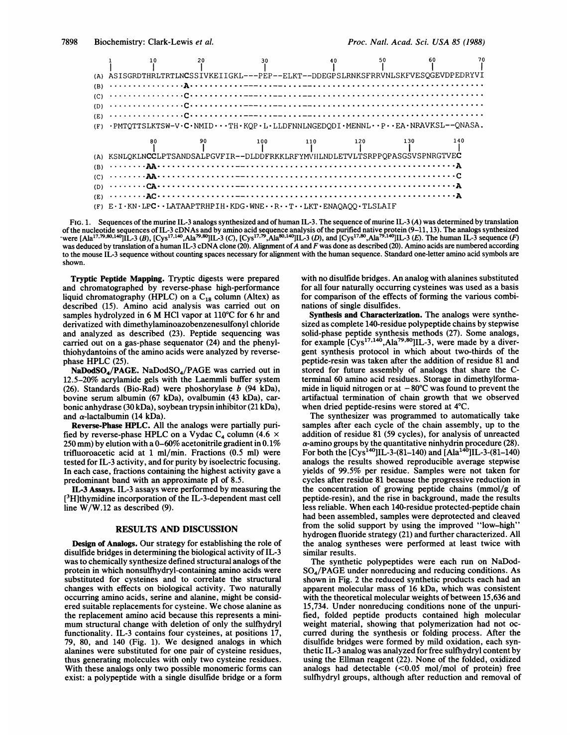|     | 10                                                                                                                                              | 20                                                                                                                                                                                   | 30  | 40  | 50  | 60  |     |
|-----|-------------------------------------------------------------------------------------------------------------------------------------------------|--------------------------------------------------------------------------------------------------------------------------------------------------------------------------------------|-----|-----|-----|-----|-----|
|     | (A) ASISGRDTHRLTRTLNCSSIVKEIIGKL---PEP--ELKT--DDEGPSLRNKSFRRVNLSKFVESQGEVDPEDRYVI                                                               |                                                                                                                                                                                      |     |     |     |     |     |
| (B) |                                                                                                                                                 |                                                                                                                                                                                      |     |     |     |     |     |
| (C) |                                                                                                                                                 |                                                                                                                                                                                      |     |     |     |     |     |
| (D) |                                                                                                                                                 |                                                                                                                                                                                      |     |     |     |     |     |
|     |                                                                                                                                                 |                                                                                                                                                                                      |     |     |     |     |     |
| (F) |                                                                                                                                                 | $\cdot$ PMTQTTSLKTSW-V $\cdot$ C $\cdot$ NMID $\cdot\cdot\cdot$ TH $\cdot$ KQP $\cdot$ L $\cdot$ LLDFNNLNGEDQDI $\cdot$ MENNL $\cdot\cdot$ P $\cdot\cdot$ EA $\cdot$ NRAVKSL--QNASA. |     |     |     |     |     |
|     | 80                                                                                                                                              |                                                                                                                                                                                      | 100 | 110 | 120 | 130 | 140 |
|     | (A) KSNLQKLNCCLPTSANDSALPGVFIR--DLDDFRKKLRFYMVHLNDLETVLTSRPPOPASGSVSPNRGTVEC                                                                    |                                                                                                                                                                                      |     |     |     |     |     |
|     | (B) $\cdots \cdots \cdots \mathbf{A} \mathbf{A} \cdots \cdots \cdots \cdots \cdots \cdots \cdots \cdots \cdots \cdots \cdots \cdots \mathbf{A}$ |                                                                                                                                                                                      |     |     |     |     |     |
| (C) |                                                                                                                                                 |                                                                                                                                                                                      |     |     |     |     |     |
|     |                                                                                                                                                 |                                                                                                                                                                                      |     |     |     |     |     |
|     |                                                                                                                                                 |                                                                                                                                                                                      |     |     |     |     |     |
|     | (F) E.I.KN.LPCLATAAPTRHPIH.KDG.WNERTLKT.ENAOAOO.TLSLAIF                                                                                         |                                                                                                                                                                                      |     |     |     |     |     |

FIG. 1. Sequences of the murine IL-3 analogs synthesized and of human IL-3. The sequence of murine IL-3 (A) was determined by translation of the nucleotide sequences of IL-3 cDNAs and by amino acid sequence analysis of the purified native protein  $(9-11, 13)$ . The analogs synthesized<br>were [Ala<sup>17,79,80,140</sup>]IL-3 (B), [Cys<sup>17,140</sup>,Ala<sup>79,80</sup>]IL-3 (C), [Cys<sup>1</sup> was deduced by translation of a human IL-3 cDNA clone (20). Alignment of A and F was done as described (20). Amino acids are numbered according to the mouse IL-3 sequence without counting spaces necessary for alignment with the human sequence. Standard one-letter amino acid symbols are shown.

Tryptic Peptide Mapping. Tryptic digests were prepared and chromatographed by reverse-phase high-performance liquid chromatography (HPLC) on a C<sub>18</sub> column (Altex) as described (15). Amino acid analysis was carried out on samples hydrolyzed in 6 M HCl vapor at 110°C for 6 hr and derivatized with dimethylaminoazobenzenesulfonyl chloride and analyzed as described (23). Peptide sequencing was carried out on a gas-phase sequenator (24) and the phenylthiohydantoins of the amino acids were analyzed by reversephase HPLC (25).

 $NaDodSO<sub>4</sub>/PAGE. NaDodSO<sub>4</sub>/PAGE was carried out in$ 12.5–20% acrylamide gels with the Laemmli buffer system (26). Standards (Bio-Rad) were phoshorylase b (94 kDa), bovine serum albumin (67 kDa), ovalbumin (43 kDa), carbonic anhydrase (30 kDa), soybean trypsin inhibitor (21 kDa), and  $\alpha$ -lactalbumin (14 kDa).

Reverse-Phase HPLC. All the analogs were partially purified by reverse-phase HPLC on a Vydac  $C_4$  column (4.6  $\times$ 250 mm) by elution with a 0–60% acetonitrile gradient in 0.1% trifluoroacetic acid at  $1 \text{ ml/min}$ . Fractions (0.5 ml) were tested for IL-3 activity, and for purity by isoelectric focusing. In each case, fractions containing the highest activity gave a predominant band with an approximate pI of 8.5.

IL-3 Assays. IL-3 assays were performed by measuring the [<sup>3</sup>H]thymidine incorporation of the IL-3-dependent mast cell line  $W/W.12$  as described (9).

## **RESULTS AND DISCUSSION**

Design of Analogs. Our strategy for establishing the role of disulfide bridges in determining the biological activity of IL-3 was to chemically synthesize defined structural analogs of the protein in which nonsulfhydryl-containing amino acids were substituted for cysteines and to correlate the structural changes with effects on biological activity. Two naturally occurring amino acids, serine and alanine, might be considered suitable replacements for cysteine. We chose alanine as the replacement amino acid because this represents a minimum structural change with deletion of only the sulfhydryl functionality. IL-3 contains four cysteines, at positions 17, 79, 80, and 140 (Fig. 1). We designed analogs in which alanines were substituted for one pair of cysteine residues, thus generating molecules with only two cysteine residues. With these analogs only two possible monomeric forms can exist: a polypeptide with a single disulfide bridge or a form

with no disulfide bridges. An analog with alanines substituted for all four naturally occurring cysteines was used as a basis for comparison of the effects of forming the various combinations of single disulfides.

Synthesis and Characterization. The analogs were synthesized as complete 140-residue polypeptide chains by stepwise solid-phase peptide synthesis methods (27). Some analogs, for example  $[Cys^{17,140}, Ala^{79,80}]IL-3$ , were made by a divergent synthesis protocol in which about two-thirds of the peptide-resin was taken after the addition of residue 81 and stored for future assembly of analogs that share the Cterminal 60 amino acid residues. Storage in dimethylformamide in liquid nitrogen or at  $-80^{\circ}$ C was found to prevent the artifactual termination of chain growth that we observed when dried peptide-resins were stored at 4°C.

The synthesizer was programmed to automatically take samples after each cycle of the chain assembly, up to the addition of residue 81 (59 cycles), for analysis of unreacted  $\alpha$ -amino groups by the quantitative ninhydrin procedure (28). For both the  $[Cys^{140}]1L-3-(81-140)$  and  $[Ala^{140}]1L-3-(81-140)$ analogs the results showed reproducible average stepwise yields of 99.5% per residue. Samples were not taken for cycles after residue 81 because the progressive reduction in the concentration of growing peptide chains (mmol/g of peptide-resin), and the rise in background, made the results less reliable. When each 140-residue protected-peptide chain had been assembled, samples were deprotected and cleaved from the solid support by using the improved "low-high" hydrogen fluoride strategy (21) and further characterized. All the analog syntheses were performed at least twice with similar results.

The synthetic polypeptides were each run on NaDod- $SO<sub>4</sub>/PAGE$  under nonreducing and reducing conditions. As shown in Fig. 2 the reduced synthetic products each had an apparent molecular mass of 16 kDa, which was consistent with the theoretical molecular weights of between 15,636 and 15,734. Under nonreducing conditions none of the unpurified, folded peptide products contained high molecular weight material, showing that polymerization had not occurred during the synthesis or folding process. After the disulfide bridges were formed by mild oxidation, each synthetic IL-3 analog was analyzed for free sulfhydryl content by using the Ellman reagent (22). None of the folded, oxidized analogs had detectable  $(<0.05$  mol/mol of protein) free sulfhydryl groups, although after reduction and removal of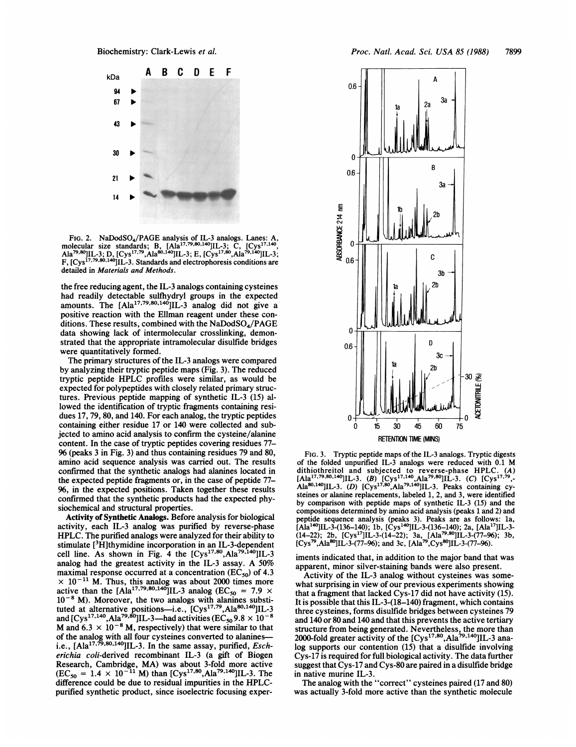Biochemistry: Clark-Lewis et al.



FIG. 2. NaDodSO4/PAGE analysis of IL-3 analogs. Lanes: A, molecular size standards; B,  $[Ala^{17,79,80,140}$ IL-3; C,  $[Cys^{17,140},]$ Ala<sup>79,80</sup>JIL-3; D, [Cys<sup>17,79</sup>,Ala<sup>80,140</sup>]IL-3; E, [Cys<sup>17,80</sup>,Ala<sup>79,140</sup>]IL-3;<br>F, [Cys<sup>17,79,80,140</sup>]IL-3. Standards and electrophoresis conditions are detailed in Materials and Methods.

the free reducing agent, the IL-3 analogs containing cysteines had readily detectable sulfhydryl groups in the expected amounts. The  $[A]a^{1779,80,140}$ IL-3 analog did not give a positive reaction with the Ellman reagent under these conditions. These results, combined with the  $NaDodSO<sub>4</sub>/PAGE$ data showing lack of intermolecular crosslinking, demonstrated that the appropriate intramolecular disulfide bridges were quantitatively formed.

The primary structures of the IL-3 analogs were compared by analyzing their tryptic peptide maps (Fig. 3). The reduced tryptic peptide HPLC profiles were similar, as would be expected for polypeptides with closely related primary structures. Previous peptide mapping of synthetic IL-3 (15) allowed the identification of tryptic fragments containing residues 17, 79, 80, and 140. For each analog, the tryptic peptides containing either residue 17 or 140 were collected and subjected to amino acid analysis to confirm the cysteine/alanine content. In the case of tryptic peptides covering residues 77- 96 (peaks 3 in Fig. 3) and thus containing residues 79 and 80, amino acid sequence analysis was carried out. The results confirmed that the synthetic analogs had alanines located in the expected peptide fragments or, in the case of peptide 77- 96, in the expected positions. Taken together these results confirmed that the synthetic products had the expected physiochemical and structural properties.

Activity of Synthetic Analogs. Before analysis for biological activity, each IL-3 analog was purified by reverse-phase HPLC. The purified analogs were analyzed for their ability to stimulate [3H]thymidine incorporation in an IL-3-dependent cell line. As shown in Fig. 4 the  $[Cys^{17,80},Ala^{79,140}]IL-3$ analog had the greatest activity in the IL-3 assay. A 50% maximal response occurred at a concentration ( $EC_{50}$ ) of 4.3  $\times$  10<sup>-11</sup> M. Thus, this analog was about 2000 times more active than the [Ala<sup>17,79,80,140</sup>]IL-3 analog (EC<sub>50</sub> = 7.9  $\times$  $10^{-8}$  M). Moreover, the two analogs with alanines substituted at alternative positions—i.e.,  $[Cys^{17,79}, Ala^{80,140}][L-3]$ and [Cys<sup>17,140</sup>,Ala<sup>79,80</sup>]IL-3—had activities (EC<sub>50</sub>9.8  $\times$  10<sup>-8</sup> M and  $6.3 \times 10^{-8}$  M, respectively) that were similar to that of the analog with all four cysteines converted to alanines i.e.,  $[A]a^{17,79,80,140}]$ IL-3. In the same assay, purified, *Esch*erichia coli-derived recombinant IL-3 (a gift of Biogen Research, Cambridge, MA) was about 3-fold more active  $(EC_{50} = 1.4 \times 10^{-11} \text{ M})$  than  $[Cys^{17,80}, Ala^{79,140}]IL-3$ . The difference could be due to residual impurities in the HPLCpurified synthetic product, since isoelectric focusing exper-



FIG. 3. Tryptic peptide maps of the IL-3 analogs. Tryptic digests of the folded unpurified IL-3 analogs were reduced with 0.1 M dithiothreitol and subjected to reverse-phase HPLC. (*A*)<br>[Ala<sup>17,79,80,140</sup>]IL-3. (*B*) [Cys<sup>17,140</sup>,Ala<sup>79,80</sup>]IL-3. (*C*) [Cys<sup>17,79</sup>,-Ala<sup>80,140</sup>]IL-3. (D) [Cys<sup>17,80</sup>,Ala<sup>79,140</sup>]IL-3. Peaks containing cysteines or alanine replacements, labeled 1, 2, and 3, were identified by comparison with peptide maps of synthetic IL-3 (15) and the compositions determined by amino acid analysis (peaks <sup>1</sup> and 2) and peptide sequence analysis (peaks 3). Peaks are as follows: la,<br>[Ala<sup>140</sup>]IL-3-(136–140); 1b, [Cys<sup>140</sup>]IL-3-(136–140); 2a, [Ala<sup>17</sup>]IL-3- $(14-22)$ ; 2b,  $[Cys<sup>17</sup>]IL-3-(14-22)$ ; 3a,  $[Ala<sup>79,80</sup>]IL-3-(77-96)$ ; 3b, [Cys<sup>79</sup>,Ala<sup>80</sup>]IL-3-(77–96); and 3c, [Ala<sup>79</sup>,Cys<sup>80</sup>]IL-3-(77–96).

iments indicated that, in addition to the major band that was apparent, minor silver-staining bands were also present.

Activity of the IL-3 analog without cysteines was somewhat surprising in view of our previous experiments showing that a fragment that lacked Cys-17 did not have activity (15). It is possible that this IL-3-(18-140) fragment, which contains three cysteines, forms disulfide bridges between cysteines 79 and 140 or 80 and 140 and that this prevents the active tertiary structure from being generated. Nevertheless, the more than 2000-fold greater activity of the  $[Cys^{17,80}, Ala^{79,140}]IL-3$  analog supports our contention (15) that a disulfide involving Cys-17 is required for full biological activity. The data further suggest that Cys-17 and Cys-80 are paired in a disulfide bridge in native murine IL-3.

The analog with the "correct" cysteines paired (17 and 80) was actually 3-fold more active than the synthetic molecule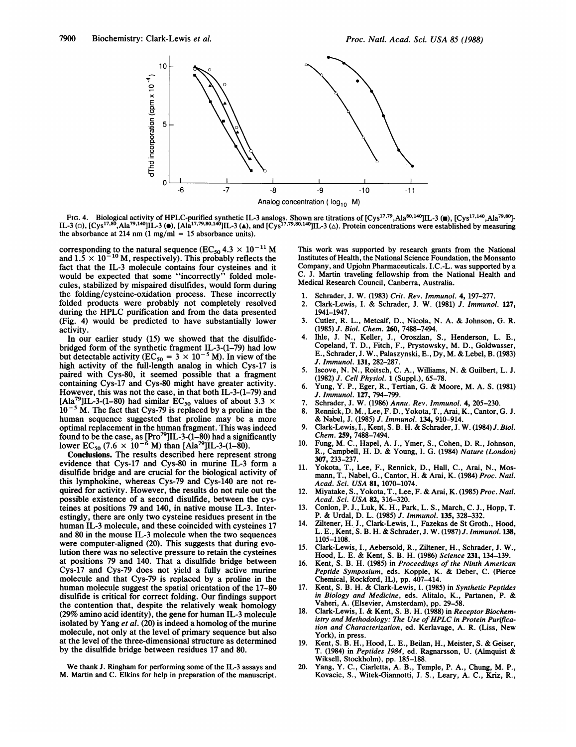

FIG. 4. Biological activity of HPLC-purified synthetic IL-3 analogs. Shown are titrations of  $[Cy^{17,79},Ala^{80,140}]$ IL-3 ( $\blacksquare$ ),  $[Cy^{17,140},Ala^{79,80}]$ -IL-3 (O),  $[Cys^{17,80},Ala^{79,140}]$ IL-3 ( $\bullet$ ),  $[Ala^{17,79,80,140}]$ IL-3 ( $\bullet$ ), and  $[Cys^{17,79,80,140}]$ IL-3 ( $\triangle$ ). Protein concentrations were established by measuring the absorbance at 214 nm  $(1 \text{ mg/ml} = 15 \text{ absorbance units}).$ 

corresponding to the natural sequence (EC<sub>50</sub> 4.3  $\times$  10<sup>-11</sup> M and  $1.5 \times 10^{-10}$  M, respectively). This probably reflects the fact that the IL-3 molecule contains four cysteines and it would be expected that some "incorrectly" folded molecules, stabilized by mispaired disulfides, would form during the folding/cysteine-oxidation process. These incorrectly folded products were probably not completely resolved during the HPLC purification and from the data presented (Fig. 4) would be predicted to have substantially lower activity.

In our earlier study (15) we showed that the disulfidebridged form of the synthetic fragment IL-3-(1-79) had low but detectable activity (EC<sub>50</sub> =  $3 \times 10^{-5}$  M). In view of the high activity of the full-length analog in which Cys-17 is paired with Cys-80, it seemed possible that a fragment containing Cys-17 and Cys-80 might have greater activity. However, this was not the case, in that both IL-3-(1-79) and [Ala<sup>79</sup>]IL-3-(1-80) had similar EC<sub>50</sub> values of about 3.3  $\times$  $10^{-5}$  M. The fact that Cys-79 is replaced by a proline in the human sequence suggested that proline may be a more optimal replacement in the human fragment. This was indeed found to be the case, as  $[Pro'']IL-3-(1-80)$  had a significantly lower  $EC_{50}$  (7.6  $\times$  10<sup>-6</sup> M) than [Ala<sup>79</sup>]IL-3-(1–80).

Conclusions. The results described here represent strong evidence that Cys-17 and Cys-80 in murine IL-3 form a disulfide bridge and are crucial for the biological activity of this lymphokine, whereas Cys-79 and Cys-140 are not required for activity. However, the results do not rule out the possible existence of a second disulfide, between the cysteines at positions 79 and 140, in native mouse IL-3. Interestingly, there are only two cysteine residues present in the human IL-3 molecule, and these coincided with cysteines 17 and 80 in the mouse IL-3 molecule when the two sequences were computer-aligned (20). This suggests that during evolution there was no selective pressure to retain the cysteines at positions 79 and 140. That a disulfide bridge between Cys-17 and Cys-79 does not yield a fully active murine molecule and that Cys-79 is replaced by a proline in the human molecule suggest the spatial orientation of the 17-80 disulfide is critical for correct folding. Our findings support the contention that, despite the relatively weak homology (29% amino acid identity), the gene for human IL-3 molecule isolated by Yang et al. (20) is indeed a homolog of the murine molecule, not only at the level of primary sequence but also at the level of the three-dimensional structure as determined by the disulfide bridge between residues 17 and 80.

We thank J. Ringham for performing some of the IL-3 assays and M. Martin and C. Elkins for help in preparation of the manuscript.

This work was supported by research grants from the National Institutes of Health, the National Science Foundation, the Monsanto Company, and Upjohn Pharmaceuticals. I.C.-L. was supported by a C. J. Martin traveling fellowship from the National Health and Medical Research Council, Canberra, Australia.

- Schrader, J. W. (1983) Crit. Rev. Immunol. 4, 197-277.
- 2. Clark-Lewis, I. & Schrader, J. W. (1981) J. Immunol. 127, 1941-1947.
- 3. Cutler, R. L., Metcalf, D., Nicola, N. A. & Johnson, G. R. (1985) J. Biol. Chem. 260, 7488-7494.
- 4. Ihle, J. N., Keller, J., Oroszlan, S., Henderson, L. E., Copeland, T. D., Fitch, F., Prystowsky, M. D., Goldwasser, E., Schrader, J. W., Palaszynski, E., Dy, M. & Lebel, B. (1983) J. Immunol. 131, 282-287.
- 5. Iscove, N. N., Roitsch, C. A., Williams, N. & Guilbert, L. J. (1982) J. Cell Physiol. 1 (Suppl.), 65-78.
- 6. Yung, Y. P., Eger, R., Tertian, G. & Moore, M. A. S. (1981) J. Immunol. 127, 794-799.
- Schrader, J. W. (1986) Annu. Rev. Immunol. 4, 205-230.
- 8. Rennick, D. M., Lee, F. D., Yokota, T., Arai, K., Cantor, G. J.
- & Nabel, J. (1985) J. Immunol. 134, 910-914. Clark-Lewis, I., Kent, S. B. H. & Schrader, J. W. (1984) J. Biol. Chem. 259, 7488-7494.
- 10. Fung, M. C., Hapel, A. J., Ymer, S., Cohen, D. R., Johnson, R., Campbell, H. D. & Young, I. G. (1984) Nature (London) 307, 233-237.
- 11. Yokota, T., Lee, F., Rennick, D., Hall, C., Arai, N., Mosmann, T., Nabel, G., Cantor, H. & Arai, K. (1984) Proc. Natl. Acad. Sci. USA 81, 1070-1074.
- 12. Miyatake, S., Yokota, T., Lee, F. & Arai, K. (1985) Proc. Natl. Acad. Sci. USA 82, 316-320.
- 13. Conlon, P. J., Luk, K. H., Park, L. S., March, C. J., Hopp, T. P. & Urdal, D. L. (1985) J. Immunol. 135, 328-332.
- 14. Ziltener, H. J., Clark-Lewis, I., Fazekas de St Groth., Hood, L. E., Kent, S. B. H. & Schrader, J. W. (1987) J. Immunol. 138, 1105-1108.
- 15. Clark-Lewis, I., Aebersold, R., Ziltener, H., Schrader, J. W., Hood, L. E. & Kent, S. B. H. (1986) Science 231, 134-139.
- 16. Kent, S. B. H. (1985) in Proceedings of the Ninth American Peptide Symposium, eds. Kopple, K. & Deber, C. (Pierce Chemical, Rockford, IL), pp. 407-414.
- 17. Kent, S. B. H. & Clark-Lewis, I. (1985) in Synthetic Peptides in Biology and Medicine, eds. Alitalo, K., Partanen, P. & Vaheri, A. (Elsevier, Amsterdam), pp. 29-58.
- 18. Clark-Lewis, I. & Kent, S. B. H. (1988) in Receptor Biochemistry and Methodology: The Use of HPLC in Protein Purification and Characterization, ed. Kerlavage, A. R. (Liss, New York), in press.
- 19. Kent, S. B. H., Hood, L. E., Beilan, H., Meister, S. & Geiser, T. (1984) in Peptides 1984, ed. Ragnarsson, U. (Almquist & Wiksell, Stockholm), pp. 185-188.
- 20. Yang, Y. C., Ciarletta, A. B., Temple, P. A., Chung, M. P., Kovacic, S., Witek-Giannotti, J. S., Leary, A. C., Kriz, R.,